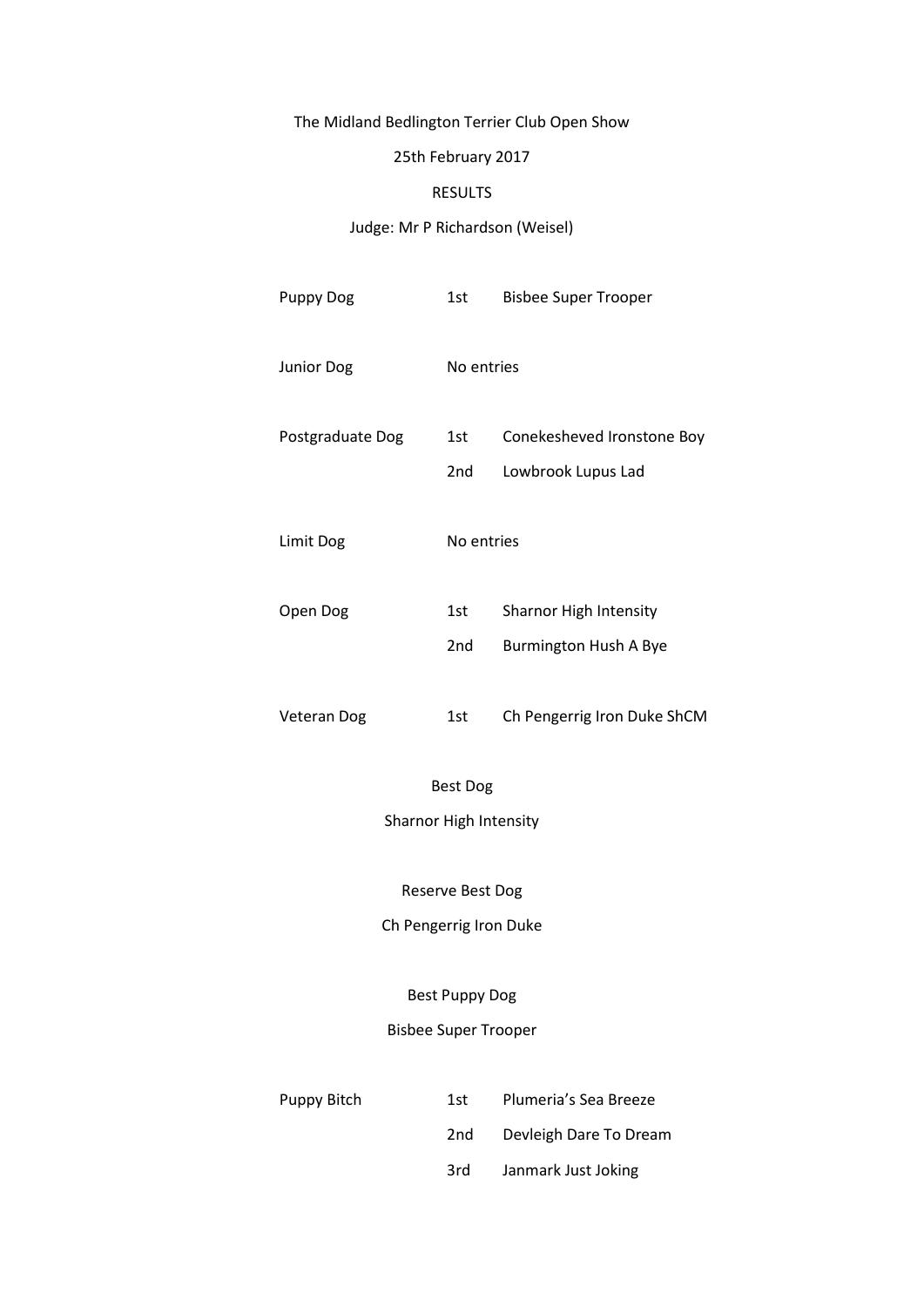# The Midland Bedlington Terrier Club Open Show

## 25th February 2017

## RESULTS

## Judge: Mr P Richardson (Weisel)

| <b>Puppy Dog</b>            | 1st        | <b>Bisbee Super Trooper</b> |  |  |
|-----------------------------|------------|-----------------------------|--|--|
| Junior Dog                  | No entries |                             |  |  |
| Postgraduate Dog            | 1st        | Conekesheved Ironstone Boy  |  |  |
|                             | 2nd        | Lowbrook Lupus Lad          |  |  |
| Limit Dog                   | No entries |                             |  |  |
| Open Dog                    | 1st        | Sharnor High Intensity      |  |  |
|                             | 2nd        | Burmington Hush A Bye       |  |  |
| Veteran Dog                 | 1st        | Ch Pengerrig Iron Duke ShCM |  |  |
| <b>Best Dog</b>             |            |                             |  |  |
| Sharnor High Intensity      |            |                             |  |  |
| Reserve Best Dog            |            |                             |  |  |
| Ch Pengerrig Iron Duke      |            |                             |  |  |
| <b>Best Puppy Dog</b>       |            |                             |  |  |
| <b>Bisbee Super Trooper</b> |            |                             |  |  |
| Puppy Bitch                 | 1st        | Plumeria's Sea Breeze       |  |  |
|                             | 2nd        | Devleigh Dare To Dream      |  |  |
|                             | 3rd        | Janmark Just Joking         |  |  |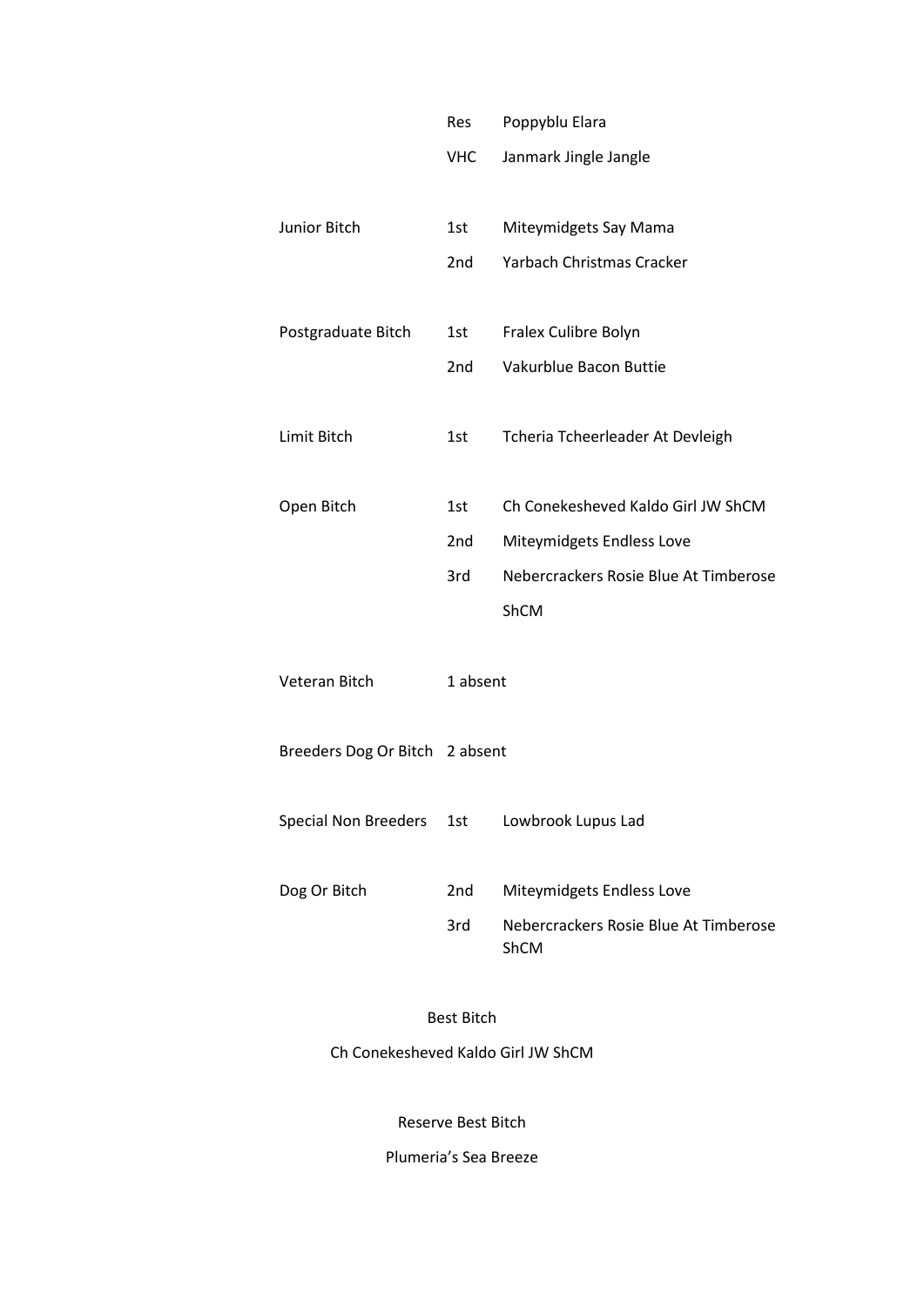|                                | Res        | Poppyblu Elara                        |
|--------------------------------|------------|---------------------------------------|
|                                | <b>VHC</b> | Janmark Jingle Jangle                 |
|                                |            |                                       |
| Junior Bitch                   | 1st        | Miteymidgets Say Mama                 |
|                                | 2nd        | Yarbach Christmas Cracker             |
|                                |            |                                       |
| Postgraduate Bitch             | 1st        | Fralex Culibre Bolyn                  |
|                                | 2nd        | Vakurblue Bacon Buttie                |
|                                |            |                                       |
| Limit Bitch                    | 1st        | Tcheria Tcheerleader At Devleigh      |
|                                |            |                                       |
| Open Bitch                     | 1st        | Ch Conekesheved Kaldo Girl JW ShCM    |
|                                | 2nd        | Miteymidgets Endless Love             |
|                                | 3rd        | Nebercrackers Rosie Blue At Timberose |
|                                |            | ShCM                                  |
|                                |            |                                       |
| Veteran Bitch                  | 1 absent   |                                       |
|                                |            |                                       |
| Breeders Dog Or Bitch 2 absent |            |                                       |
|                                |            |                                       |
| <b>Special Non Breeders</b>    | 1st        | Lowbrook Lupus Lad                    |
|                                |            |                                       |
| Dog Or Bitch                   | 2nd        | Miteymidgets Endless Love             |
|                                | 3rd        | Nebercrackers Rosie Blue At Timberose |
|                                |            | ShCM                                  |

### Best Bitch

Ch Conekesheved Kaldo Girl JW ShCM

Reserve Best Bitch

Plumeria's Sea Breeze